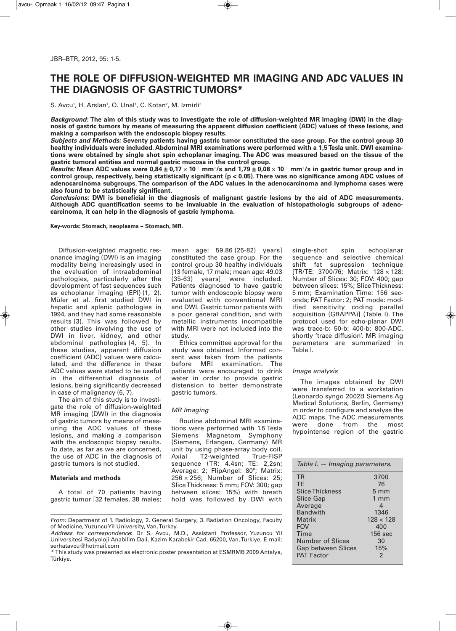# **THE ROLE OF DIFFUSION-WEIGHTED MR IMAGING AND ADC VALUES IN THE DIAGNOSIS OF GASTRICTUMORS\***

S. Avcu<sup>1</sup>, H. Arslan<sup>1</sup>, O. Unal<sup>1</sup>, C. Kotan<sup>2</sup>, M. Izmirli<sup>3</sup>

Background: The aim of this study was to investigate the role of diffusion-weighted MR imaging (DWI) in the diagnosis of gastric tumors by means of measuring the apparent diffusion coefficient (ADC) values of these lesions, and **making a comparison with the endoscopic biopsy results.**

Subjects and Methods: Seventy patients having gastric tumor constituted the case group. For the control group 30 **healthy individuals were included. Abdominal MRI examinations were performed with a 1,5Tesla unit. DWI examina**tions were obtained by single shot spin echoplanar imaging. The ADC was measured based on the tissue of the **gastric tumoral entities and normal gastric mucosa in the control group.**

*Results:* Mean ADC values were 0,84 ± 0,17  $\times$  10  $^{\rm _3}$  mm $^{\rm _2}$ /s and 1,79 ± 0,08  $\times$  10  $^{\rm _3}$  mm $^{\rm _2}$ /s in gastric tumor group and in control group, respectively, being statistically significant ( $p < 0.05$ ). There was no significance among ADC values of **adenocarcinoma subgroups. The comparison of the ADC values in the adenocarcinoma and lymphoma cases were also found to be statistically significant.**

Conclusions: DWI is beneficial in the diagnosis of malignant gastric lesions by the aid of ADC measurements. **Although ADC quantification seems to be invaluable in the evaluation of histopathologic subgroups of adenocarcinoma, it can help in the diagnosis of gastric lymphoma.**

**Key-words: Stomach, neoplasms – Stomach, MR.**

Diffusion-weighted magnetic resonance imaging (DWI) is an imaging modality being increasingly used in the evaluation of intraabdominal pathologies, particularly after the development of fast sequences such as echoplanar imaging (EPI) (1, 2). Müler et al. first studied DWI in hepatic and splenic pathologies in 1994, and they had some reasonable results (3). This was followed by other studies involving the use of DWI in liver, kidney, and other abdominal pathologies (4, 5). In these studies, apparent diffusion coefficient (ADC) values were calculated, and the difference in these ADC values were stated to be useful in the differential diagnosis of lesions, being significantly decreased in case of malignancy (6, 7).

The aim of this study is to investigate the role of diffusion-weighted MR imaging (DWI) in the diagnosis of gastric tumors by means of measuring the ADC values of these lesions, and making a comparison with the endoscopic biopsy results. To date, as far as we are concerned, the use of ADC in the diagnosis of gastric tumors is not studied.

## **Materials and methods**

A total of 70 patients having gastric tumor [32 females, 38 males; mean age: 59.86 (25-82) years] constituted the case group. For the control group 30 healthy individuals [13 female, 17 male; mean age: 49.03 (35-63) years] were included. Patients diagnosed to have gastric tumor with endoscopic biopsy were evaluated with conventional MRI and DWI. Gastric tumor patients with a poor general condition, and with metallic instruments incompatible with MRI were not included into the study.

Ethics committee approval for the study was obtained. Informed consent was taken from the patients before MRI examination. The patients were encouraged to drink water in order to provide gastric distension to better demonstrate gastric tumors.

## *MR Imaging*

Routine abdominal MRI examinations were performed with 1.5 Tesla Siemens Magnetom Symphony (Siemens, Erlangen, Germany) MR unit by using phase-array body coil.<br>Axial T2-weighted True-FISP T2-weighted sequence (TR: 4.4sn; TE: 2,2sn; Average: 2; FlipAngel: 80º; Matrix: 256 × 256; Number of Slices: 25; SliceThickness: 5 mm; FOV: 300; gap between slices: 15%) with breath hold was followed by DWI with single-shot spin echoplanar sequence and selective chemical shift fat supression technique [TR/TE: 3700/76; Matrix: 128 × 128; Number of Slices: 30; FOV: 400; gap between slices: 15%; SliceThickness: 5 mm; Examination Time: 156 seconds; PAT Factor: 2; PAT mode: modified sensitivity coding parallel acquisition (GRAPPA)] (Table I). The protocol used for echo-planar DWI was trace-b: 50-b: 400-b: 800-ADC, shortly 'trace diffusion'. MR imaging parameters are summarized in Table I.

## *Image analysis*

The images obtained by DWI were transferred to a workstation (Leonardo syngo 2002B Siemens Ag Medical Solutions, Berlin, Germany) in order to configure and analyse the ADC maps. The ADC measurements were done from the most hypointense region of the gastric

| Table I. - Imaging parameters. |                  |  |  |  |  |  |  |
|--------------------------------|------------------|--|--|--|--|--|--|
| <b>TR</b>                      | 3700             |  |  |  |  |  |  |
| TE                             | 76               |  |  |  |  |  |  |
| Slice Thickness                | $5 \text{ mm}$   |  |  |  |  |  |  |
| <b>Slice Gap</b>               | $1 \text{ mm}$   |  |  |  |  |  |  |
| Average                        | 4                |  |  |  |  |  |  |
| <b>Bandwith</b>                | 1346             |  |  |  |  |  |  |
| Matrix                         | $128 \times 128$ |  |  |  |  |  |  |
| <b>FOV</b>                     | 400              |  |  |  |  |  |  |
| Time                           | $156$ sec        |  |  |  |  |  |  |
| Number of Slices               | 30               |  |  |  |  |  |  |
| <b>Gap between Slices</b>      | 15%              |  |  |  |  |  |  |
| <b>PAT Factor</b>              | 2                |  |  |  |  |  |  |

*From:* Department of 1. Radiology, 2. General Surgery, 3. Radiation Oncology, Faculty of Medicine,YuzuncuYil University, Van,Turkey.

*Address for correspondence*: Dr S. Avcu, M.D., Assistant Professor, Yuzuncu Yil Universitesi Radyoloji Anabilim Dali, Kazim Karabekir Cad. 65200, Van,Turkiye. E-mail: serhatavcu@hotmail.com

*\** This study was presented as electronic poster presentation at ESMRMB 2009 Antalya, Türkiye.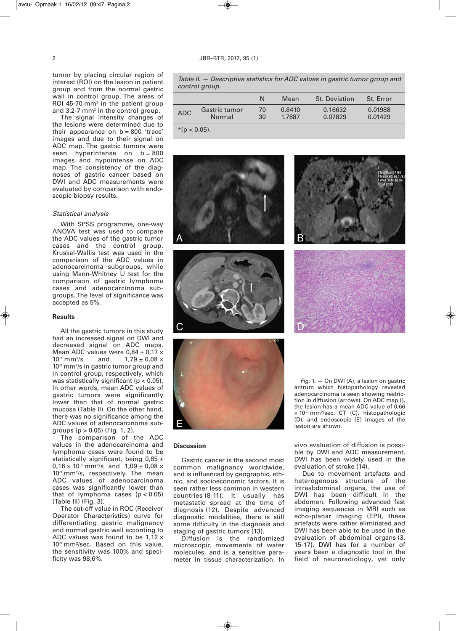tumor by placing circular region of interest (ROI) on the lesion in patient group and from the normal gastric wall in control group. The areas of ROI 45-70 mm2 in the patient group and 3.2-7 mm<sup>2</sup> in the control group.

The signal intensity changes of the lesions were determined due to their appearance on  $b = 800$  'trace' images and due to their signal on ADC map. The gastric tumors were seen hyperintense on  $b = 800$ images and hypointense on ADC map. The consistency of the diagnoses of gastric cancer based on DWI and ADC measurements were evaluated by comparison with endoscopic biopsy results.

## *Statistical analysis*

With SPSS programme, one-way ANOVA test was used to compare the ADC values of the gastric tumor cases and the control group. Kruskal-Wallis test was used in the comparison of the ADC values in adenocarcinoma subgroups, while using Mann-Whitney U test for the comparison of gastric lymphoma cases and adenocarcinoma subgroups.The level of significance was accepted as 5%.

#### **Results**

All the gastric tumors in this study had an increased signal on DWI and decreased signal on ADC maps. Mean ADC values were  $0.84 \pm 0.17 \times 10^{3}$  mm<sup>2</sup>/s and  $1.79 \pm 0.08 \times 10^{3}$  $10^{-3}$  mm<sup>2</sup>/s  $1,79 \pm 0.08 \times$  $10<sup>3</sup>$  mm<sup>2</sup>/s in gastric tumor group and in control group, respectively, which was statistically significant (p < 0.05). In other words, mean ADC values of gastric tumors were significantly lower than that of normal gastric mucosa (Table II). On the other hand, there was no significance among the ADC values of adenocarcinoma subgroups  $(p > 0.05)$  (Fig. 1, 2).

The comparison of the ADC values in the adenocarcinoma and lymphoma cases were found to be statistically significant, being  $0.85 \pm$  $0,16 \times 10^{3}$  mm<sup>2</sup>/s and  $1,09 \pm 0,08 \times 10^{3}$  $10<sup>3</sup>$  mm<sup>2</sup>/s, respectively. The mean ADC values of adenocarcinoma cases was significantly lower than that of lymphoma cases  $(p < 0.05)$ (Table III) (Fig. 3).

The cut-off value in ROC (Receiver Operator Characteristics) curve for differentiating gastric malignancy and normal gastric wall according to ADC values was found to be  $1.12 \times$  $10<sup>3</sup>$  mm<sup>2</sup>/sec. Based on this value, the sensitivity was 100% and specificity was 98,6%.

*Table II. — Descriptive statistics for ADC values in gastric tumor group and control group.*

|                 |                         | N        | Mean             | <b>St. Deviation</b> | St. Error          |  |
|-----------------|-------------------------|----------|------------------|----------------------|--------------------|--|
| <b>ADC</b>      | Gastric tumor<br>Normal | 70<br>30 | 0.8410<br>1.7887 | 0.16632<br>0.07829   | 0.01988<br>0.01429 |  |
| $*(p < 0.05)$ . |                         |          |                  |                      |                    |  |

D









#### **Discussion**

Gastric cancer is the second most common malignancy worldwide, and is influenced by geographic, ethnic, and socioeconomic factors. It is seen rather less common in western countries (8-11). It usually has metastatic spread at the time of diagnosis (12). Despite advanced diagnostic modalities, there is still some difficulty in the diagnosis and staging of gastric tumors (13).

Diffusion is the randomized microscopic movements of water molecules, and is a sensitive parameter in tissue characterization. In

*Fig. 1.* — On DWI (A), a lesion on gastric antrum which histopathology revealed adenocarcinoma is seen showing restriction in diffusion (arrows). On ADC map (), the lesion has a mean ADC value of 0,66 × 10– ³ mm²/sec. CT (C), histopathologic (D), and endoscopic (E) images of the lesion are shown.

vivo evaluation of diffusion is possible by DWI and ADC measurement. DWI has been widely used in the evaluation of stroke (14).

Due to movement artefacts and heterogenous structure of the intraabdominal organs, the use of DWI has been difficult in the abdomen. Following advanced fast imaging sequences in MRI such as echo-planar imaging (EPI), these artefacts were rather eliminated and DWI has been able to be used in the evaluation of abdominal organs (3, 15-17). DWI has for a number of years been a diagnostic tool in the field of neuroradiology, yet only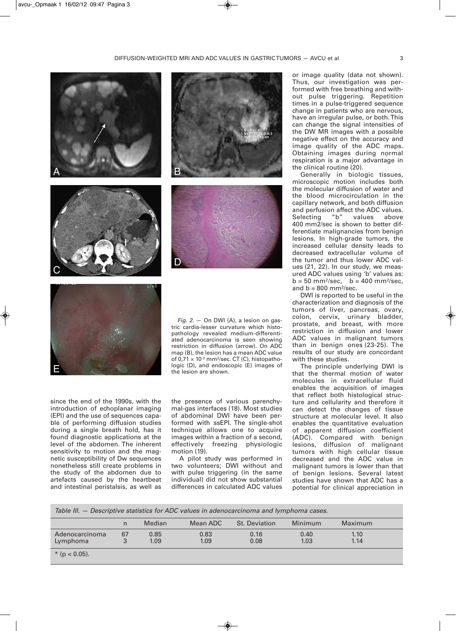

since the end of the 1990s, with the introduction of echoplanar imaging (EPI) and the use of sequences capable of performing diffusion studies during a single breath hold, has it found diagnostic applications at the level of the abdomen. The inherent sensitivity to motion and the magnetic susceptibility of Dw sequences nonetheless still create problems in the study of the abdomen due to artefacts caused by the heartbeat and intestinal peristalsis, as well as

E

restriction in diffusion (arrow). On ADC map (B), the lesion has a mean ADC value of 0,71  $\times$  10<sup>-3</sup> mm<sup>2</sup>/sec. CT (C), histopathologic (D), and endoscopic (E) images of the lesion are shown.

the presence of various parenchymal-gas interfaces (18). Most studies of abdominal DWI have been performed with ssEPI. The single-shot technique allows one to acquire images within a fraction of a second, effectively freezing physiologic motion (19).

A pilot study was performed in two volunteers; DWI without and with pulse triggering (in the same individual) did not show substantial differences in calculated ADC values

or image quality (data not shown). Thus, our investigation was performed with free breathing and without pulse triggering. Repetition times in a pulse-triggered sequence change in patients who are nervous, have an irregular pulse, or both.This can change the signal intensities of the DW MR images with a possible negative effect on the accuracy and image quality of the ADC maps. Obtaining images during normal respiration is a major advantage in the clinical routine (20).

Generally in biologic tissues, microscopic motion includes both the molecular diffusion of water and the blood microcirculation in the capillary network, and both diffusion and perfusion affect the ADC values. Selecting "b" values above 400 mm2/sec is shown to better differentiate malignancies from benign lesions. In high-grade tumors, the increased cellular density leads to decreased extracellular volume of the tumor and thus lower ADC values (21, 22). In our study, we measured ADC values using 'b' values as:  $b = 50$  mm<sup>2</sup>/sec,  $b = 400$  mm<sup>2</sup>/sec, and  $b = 800$  mm<sup>2</sup>/sec.

DWI is reported to be useful in the characterization and diagnosis of the tumors of liver, pancreas, ovary, colon, cervix, urinary bladder, prostate, and breast, with more restriction in diffusion and lower ADC values in malignant tumors than in benign ones (23-25). The results of our study are concordant with these studies.

The principle underlying DWI is that the thermal motion of water molecules in extracellular fluid enables the acquisition of images that reflect both histological structure and cellularity and therefore it can detect the changes of tissue structure at molecular level. It also enables the quantitative evaluation of apparent diffusion coefficient (ADC). Compared with benign lesions, diffusion of malignant tumors with high cellular tissue decreased and the ADC value in malignant tumors is lower than that of benign lesions. Several latest studies have shown that ADC has a potential for clinical appreciation in

*Table III. — Descriptive statistics for ADC values in adenocarcinoma and lymphoma cases.*

|                   |    | <b>Median</b> | Mean ADC | <b>St. Deviation</b> | Minimum | Maximum |  |
|-------------------|----|---------------|----------|----------------------|---------|---------|--|
| Adenocarcinoma    | 67 | 0.85          | 0.83     | 0.16                 | 0.40    | 1.10    |  |
| Lymphoma          | 3  | 1.09          | 1.09     | 0.08                 | 1.03    | 1.14    |  |
| * ( $p < 0.05$ ). |    |               |          |                      |         |         |  |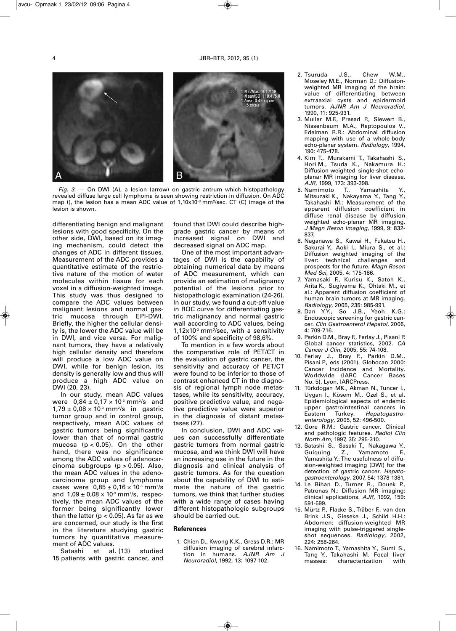



*Fig. 3.* — On DWI (A), a lesion (arrow) on gastric antrum which histopathology revealed diffuse large cell lymphoma is seen showing restriction in diffusion. On ADC map (), the lesion has a mean ADC value of 1,10x10<sup>-3</sup> mm²/sec. CT (C) image of the lesion is shown.

differentiating benign and malignant lesions with good specificity. On the other side, DWI, based on its imaging mechanism, could detect the changes of ADC in different tissues. Measurement of the ADC provides a quantitative estimate of the restrictive nature of the motion of water molecules within tissue for each voxel in a diffusion-weighted image. This study was thus designed to compare the ADC values between malignant lesions and normal gastric mucosa through EPI-DWI. Briefly, the higher the cellular density is, the lower the ADC value will be in DWI, and vice versa. For malignant tumors, they have a relatively high cellular density and therefore will produce a low ADC value on DWI, while for benign lesion, its density is generally low and thus will produce a high ADC value on DWI (20, 23).

In our study, mean ADC values were  $0.84 \pm 0.17 \times 10^{3}$  mm $^{2}/\mathrm{s}$  and  $1,79 \pm 0,08 \times 10^{3}$  mm<sup>2</sup>/s in gastric tumor group and in control group, respectively, mean ADC values of gastric tumors being significantly lower than that of normal gastric mucosa ( $p < 0.05$ ). On the other hand, there was no significance among the ADC values of adenocarcinoma subgroups (p > 0.05). Also, the mean ADC values in the adenocarcinoma group and lymphoma cases were  $0.85 \pm 0.16 \times 10^{3}$  mm $^{2}/s$ and  $1,09 \pm 0,08 \times 10^{3}$  mm²/s, respectively, the mean ADC values of the former being significantly lower than the latter ( $p < 0.05$ ). As far as we are concerned, our study is the first in the literature studying gastric tumors by quantitative measurement of ADC values.

Satashi et al. (13) studied 15 patients with gastric cancer, and found that DWI could describe highgrade gastric cancer by means of increased signal on DWI and decreased signal on ADC map.

One of the most important advantages of DWI is the capability of obtaining numerical data by means of ADC measurement, which can provide an estimation of malignancy potential of the lesions prior to histopathologic examination (24-26). In our study, we found a cut-off value in ROC curve for differentiating gastric malignancy and normal gastric wall according to ADC values, being  $1,12\times10^{3}$  mm<sup>2</sup>/sec, with a sensitivity of 100% and specificity of 98,6%.

To mention in a few words about the comparative role of PET/CT in the evaluation of gastric cancer, the sensitivity and accuracy of PET/CT were found to be inferior to those of contrast enhanced CT in the diagnosis of regional lymph node metastases, while its sensitivity, accuracy, positive predictive value, and negative predictive value were superior in the diagnosis of distant metastases (27).

In conclusion, DWI and ADC values can successfully differentiate gastric tumors from normal gastric mucosa, and we think DWI will have an increasing use in the future in the diagnosis and clinical analysis of gastric tumors. As for the question about the capability of DWI to estimate the nature of the gastric tumors, we think that further studies with a wide range of cases having different histopathologic subgroups should be carried out.

#### **References**

1. Chien D., Kwong K.K., Gress D.R.: MR diffusion imaging of cerebral infarction in humans. *AJNR Am J Neuroradiol*, 1992, 13: 1097-102.

- 2. Tsuruda J.S., Chew W.M., Moseley M.E., Norman D.: Diffusionweighted MR imaging of the brain: value of differentiating between extraaxial cysts and epidermoid tumors. *AJNR Am J Neuroradiol*, 1990, 11: 925-931.
- 3. Muller M.F., Prasad P., Siewert B., Nissenbaum M.A., Raptopoulos V., Edelman R.R.: Abdominal diffusion mapping with use of a whole-body echo-planar system. *Radiology*, 1994, 190: 475-478.
- 4. Kim T., Murakami T., Takahashi S., Hori M., Tsuda K., Nakamura H.: Diffusion-weighted single-shot echoplanar MR imaging for liver disease*. AJR*, 1999, 173: 393-398.
- 5. Namimoto T., Yamashita Y., Mitsuzaki K., Nakayama Y., Tang Y., Takahashi M.: Measurement of the apparent diffusion coefficient in diffuse renal disease by diffusion weighted echo-planar MR imaging. *J Magn Reson Imaging*, 1999, 9: 832- 837.
- 6. Naganawa S., Kawai H., Fukatsu H., Sakurai Y., Aoki I., Miura S., et al.: Diffusion weighted imaging of the liver: technical challenges and prospects for the future. *Magn Reson Med Sci*, 2005, 4: 175-186.
- 7. Yamasaki F., Kurisu K., Satoh K., Arita K., Sugiyama K., Ohtaki M., et al.: Apparent diffusion coefficient of human brain tumors at MR imaging. *Radiology*, 2005, 235: 985-991.
- 8. Dan Y.Y., So J.B., Yeoh K.G.: Endoscopic screening for gastric cancer. *Clin Gastroenterol Hepatol*, 2006, 4: 709-716.
- 9. Parkin D.M., Bray F., Ferlay J., Pisani P. Global cancer statistics, 2002. *CA Cancer J Clin*, 2005, 55: 74-108.
- 10. Ferlay J., Bray F., Parkin D.M., Pisani P., eds (2001). Globocan 2000: Cancer Incidence and Mortality. Worldwide (IARC Cancer Bases No. 5), Lyon, IARCPress.
- 11. Türkdogan MK., Akman N., Tuncer I., Uygan I., Kösem M., Ozel S., et al. Epidemiological aspects of endemic upper gastrointestinal cancers in Eastern Turkey. *Hepatogastro enterology*, 2005, 52: 496-500.
- 12. Gore R.M.: Gastric cancer. Clinical and pathologic features. *Radiol Clin North Am*, 1997, 35: 295-310.
- 13. Satashi S., Sasaki T., Nakagawa Y., Guiquing Z., Yamamoto F., Yamashita Y.: The usefulness of diffusion-weighted imaging (DWI) for the detection of gastric cancer. *Hepato gastro enterology*. 2007, 54: 1378-1381.
- 14. Le Bihan D., Turner R., Douek P., Patronas N.: Diffusion MR imaging: clinical applications. *AJR*, 1992, 159: 591-599.
- 15. Mürtz P., Flacke S., Träber F., van den Brink J.S., Gieseke J., Schild H.H.: Abdomen: diffusion-weighted MR imaging with pulse-triggered singleshot sequences. *Radiology*, 2002, 224: 258-264.
- 16. Namimoto T., Yamashita Y., Sumi S., Tang Y., Takahashi M. Focal liver<br>masses: characterization with characterization